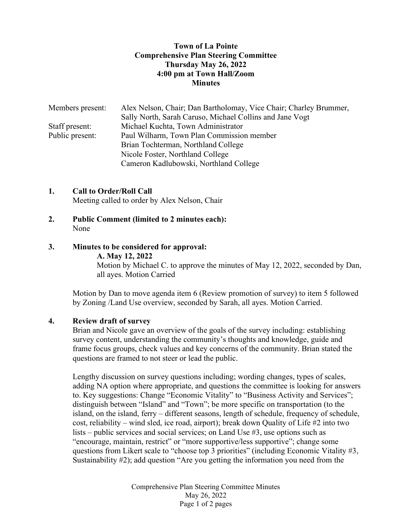### Town of La Pointe Comprehensive Plan Steering Committee Thursday May 26, 2022 4:00 pm at Town Hall/Zoom **Minutes**

| Members present: | Alex Nelson, Chair; Dan Bartholomay, Vice Chair; Charley Brummer, |
|------------------|-------------------------------------------------------------------|
|                  | Sally North, Sarah Caruso, Michael Collins and Jane Vogt          |
| Staff present:   | Michael Kuchta, Town Administrator                                |
| Public present:  | Paul Wilharm, Town Plan Commission member                         |
|                  | Brian Tochterman, Northland College                               |
|                  | Nicole Foster, Northland College                                  |
|                  | Cameron Kadlubowski, Northland College                            |

### 1. Call to Order/Roll Call

Meeting called to order by Alex Nelson, Chair

2. Public Comment (limited to 2 minutes each): None

#### 3. Minutes to be considered for approval:

#### A. May 12, 2022

 Motion by Michael C. to approve the minutes of May 12, 2022, seconded by Dan, all ayes. Motion Carried

Motion by Dan to move agenda item 6 (Review promotion of survey) to item 5 followed by Zoning /Land Use overview, seconded by Sarah, all ayes. Motion Carried.

#### 4. Review draft of survey

Brian and Nicole gave an overview of the goals of the survey including: establishing survey content, understanding the community's thoughts and knowledge, guide and frame focus groups, check values and key concerns of the community. Brian stated the questions are framed to not steer or lead the public.

 Lengthy discussion on survey questions including; wording changes, types of scales, adding NA option where appropriate, and questions the committee is looking for answers to. Key suggestions: Change "Economic Vitality" to "Business Activity and Services"; distinguish between "Island" and "Town"; be more specific on transportation (to the island, on the island, ferry – different seasons, length of schedule, frequency of schedule, cost, reliability – wind sled, ice road, airport); break down Quality of Life #2 into two lists – public services and social services; on Land Use #3, use options such as "encourage, maintain, restrict" or "more supportive/less supportive"; change some questions from Likert scale to "choose top 3 priorities" (including Economic Vitality #3, Sustainability #2); add question "Are you getting the information you need from the

> Comprehensive Plan Steering Committee Minutes May 26, 2022 Page 1 of 2 pages